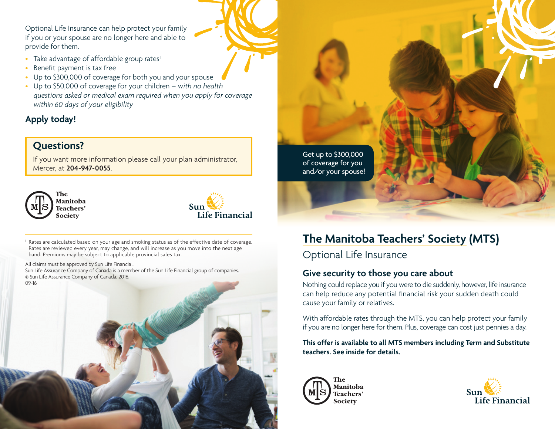Optional Life Insurance can help protect your family if you or your spouse are no longer here and able to provide for them.

- Take advantage of affordable group rates<sup>1</sup>
- Benefit payment is tax free
- Up to \$300,000 of coverage for both you and your spouse
- Up to \$50,000 of coverage for your children *with no health questions asked or medical exam required when you apply for coverage within 60 days of your eligibility*

# **Apply today!**

# **Questions?**

If you want more information please call your plan administrator, Mercer, at **204-947-0055**.





Rates are calculated based on your age and smoking status as of the effective date of coverage. Rates are reviewed every year, may change, and will increase as you move into the next age band. Premiums may be subject to applicable provincial sales tax.

All claims must be approved by Sun Life Financial.

Sun Life Assurance Company of Canada is a member of the Sun Life Financial group of companies. © Sun Life Assurance Company of Canada, 2016. 09-16

and/or your spouse!

# **The Manitoba Teachers' Society (MTS)**

Optional Life Insurance

Get up to \$300,000 of coverage for you

### **Give security to those you care about**

Nothing could replace you if you were to die suddenly, however, life insurance can help reduce any potential financial risk your sudden death could cause your family or relatives.

With affordable rates through the MTS, you can help protect your family if you are no longer here for them. Plus, coverage can cost just pennies a day.

**This offer is available to all MTS members including Term and Substitute teachers. See inside for details.**